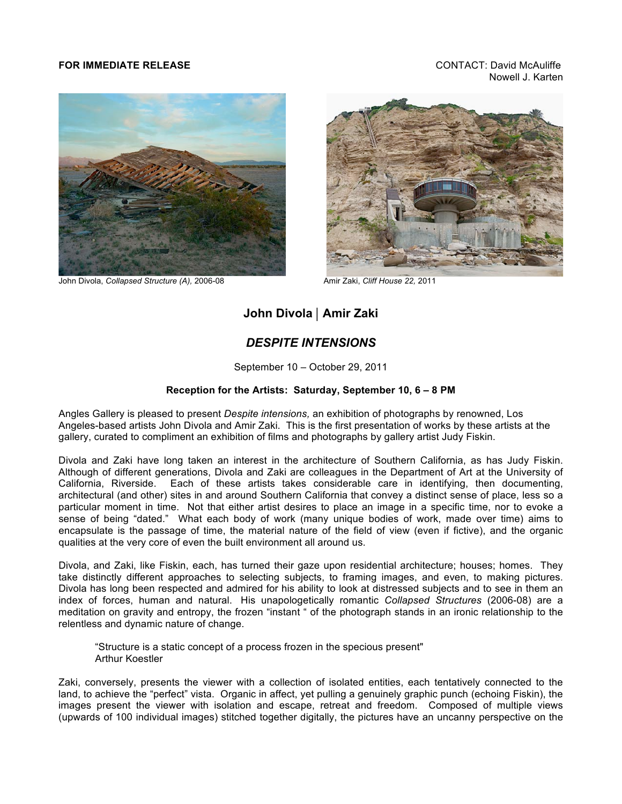## **FOR IMMEDIATE RELEASE** CONTACT: David McAuliffe

Nowell J. Karten



John Divola, *Collapsed Structure (A),* 2006-08 Amir Zaki, *Cliff House 22,*<sup>2011</sup>



## **John Divola** | **Amir Zaki**

## *DESPITE INTENSIONS*

September 10 – October 29, 2011

## **Reception for the Artists: Saturday, September 10, 6 – 8 PM**

Angles Gallery is pleased to present *Despite intensions,* an exhibition of photographs by renowned, Los Angeles-based artists John Divola and Amir Zaki. This is the first presentation of works by these artists at the gallery, curated to compliment an exhibition of films and photographs by gallery artist Judy Fiskin.

Divola and Zaki have long taken an interest in the architecture of Southern California, as has Judy Fiskin. Although of different generations, Divola and Zaki are colleagues in the Department of Art at the University of California, Riverside. Each of these artists takes considerable care in identifying, then documenting, architectural (and other) sites in and around Southern California that convey a distinct sense of place, less so a particular moment in time. Not that either artist desires to place an image in a specific time, nor to evoke a sense of being "dated." What each body of work (many unique bodies of work, made over time) aims to encapsulate is the passage of time, the material nature of the field of view (even if fictive), and the organic qualities at the very core of even the built environment all around us.

Divola, and Zaki, like Fiskin, each, has turned their gaze upon residential architecture; houses; homes. They take distinctly different approaches to selecting subjects, to framing images, and even, to making pictures. Divola has long been respected and admired for his ability to look at distressed subjects and to see in them an index of forces, human and natural. His unapologetically romantic *Collapsed Structures* (2006-08) are a meditation on gravity and entropy, the frozen "instant " of the photograph stands in an ironic relationship to the relentless and dynamic nature of change.

"Structure is a static concept of a process frozen in the specious present" Arthur Koestler

Zaki, conversely, presents the viewer with a collection of isolated entities, each tentatively connected to the land, to achieve the "perfect" vista. Organic in affect, yet pulling a genuinely graphic punch (echoing Fiskin), the images present the viewer with isolation and escape, retreat and freedom. Composed of multiple views (upwards of 100 individual images) stitched together digitally, the pictures have an uncanny perspective on the